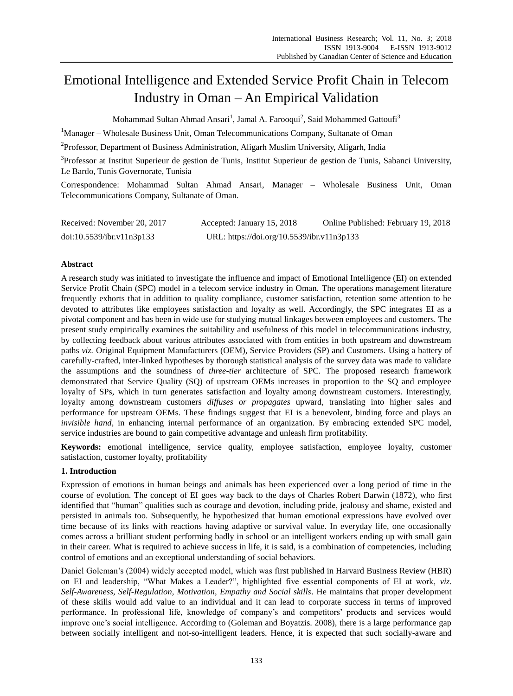# Emotional Intelligence and Extended Service Profit Chain in Telecom Industry in Oman – An Empirical Validation

Mohammad Sultan Ahmad Ansari<sup>1</sup>, Jamal A. Farooqui<sup>2</sup>, Said Mohammed Gattoufi<sup>3</sup>

 $1<sup>1</sup>$ Manager – Wholesale Business Unit, Oman Telecommunications Company, Sultanate of Oman

<sup>2</sup>Professor, Department of Business Administration, Aligarh Muslim University, Aligarh, India

<sup>3</sup>Professor at Institut Superieur de gestion de Tunis, Institut Superieur de gestion de Tunis, Sabanci University, Le Bardo, Tunis Governorate, Tunisia

Correspondence: Mohammad Sultan Ahmad Ansari, Manager – Wholesale Business Unit, Oman Telecommunications Company, Sultanate of Oman.

| Received: November 20, 2017 | Accepted: January 15, 2018                 | Online Published: February 19, 2018 |
|-----------------------------|--------------------------------------------|-------------------------------------|
| doi:10.5539/ibr.v11n3p133   | URL: https://doi.org/10.5539/ibr.v11n3p133 |                                     |

# **Abstract**

A research study was initiated to investigate the influence and impact of Emotional Intelligence (EI) on extended Service Profit Chain (SPC) model in a telecom service industry in Oman. The operations management literature frequently exhorts that in addition to quality compliance, customer satisfaction, retention some attention to be devoted to attributes like employees satisfaction and loyalty as well. Accordingly, the SPC integrates EI as a pivotal component and has been in wide use for studying mutual linkages between employees and customers. The present study empirically examines the suitability and usefulness of this model in telecommunications industry, by collecting feedback about various attributes associated with from entities in both upstream and downstream paths *viz.* Original Equipment Manufacturers (OEM), Service Providers (SP) and Customers. Using a battery of carefully-crafted, inter-linked hypotheses by thorough statistical analysis of the survey data was made to validate the assumptions and the soundness of *three-tier* architecture of SPC. The proposed research framework demonstrated that Service Quality (SQ) of upstream OEMs increases in proportion to the SQ and employee loyalty of SPs, which in turn generates satisfaction and loyalty among downstream customers. Interestingly, loyalty among downstream customers *diffuses or propagates* upward, translating into higher sales and performance for upstream OEMs. These findings suggest that EI is a benevolent, binding force and plays an *invisible hand,* in enhancing internal performance of an organization. By embracing extended SPC model, service industries are bound to gain competitive advantage and unleash firm profitability.

**Keywords:** emotional intelligence, service quality, employee satisfaction, employee loyalty, customer satisfaction, customer loyalty, profitability

## **1. Introduction**

Expression of emotions in human beings and animals has been experienced over a long period of time in the course of evolution. The concept of EI goes way back to the days of Charles Robert Darwin (1872), who first identified that "human" qualities such as courage and devotion, including pride, [jealousy](http://psychology.jrank.org/pages/348/Jealousy.html) and shame, existed and persisted in animals too. Subsequently, he hypothesized that human emotional expressions have evolved over time because of its links with reactions having adaptive or survival value. In everyday life, one occasionally comes across a brilliant student performing badly in school or an intelligent workers ending up with small gain in their career. What is required to achieve success in life, it is said, is a combination of competencies, including control of emotions and an exceptional understanding of social behaviors.

Daniel Goleman's (2004) widely accepted model, which was first published in Harvard Business Review (HBR) on EI and leadership, "What Makes a Leader?", highlighted five essential components of EI at work, *viz. Self-Awareness, Self-Regulation, Motivation, Empathy and Social skills*. He maintains that proper development of these skills would add value to an individual and it can lead to corporate success in terms of improved performance. In professional life, knowledge of company's and competitors' products and services would improve one's social intelligence. According to (Goleman and Boyatzis. 2008), there is a large performance gap between socially intelligent and not-so-intelligent leaders. Hence, it is expected that such socially-aware and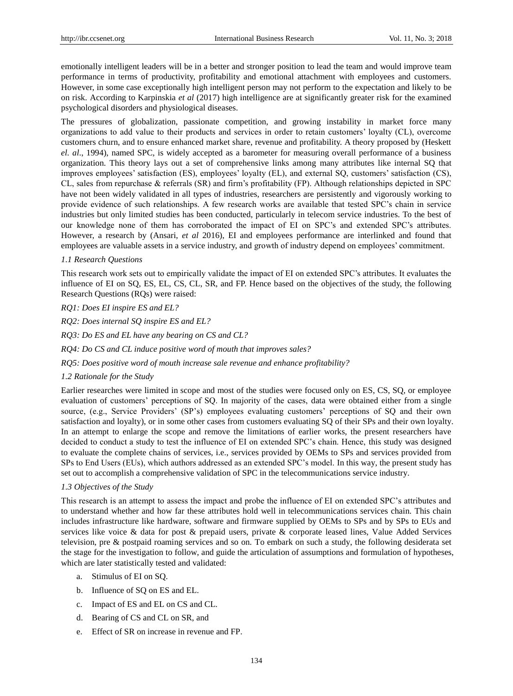emotionally intelligent leaders will be in a better and stronger position to lead the team and would improve team performance in terms of productivity, profitability and emotional attachment with employees and customers. However, in some case exceptionally high intelligent person may not perform to the expectation and likely to be on risk. According to Karpinskia *et al* (2017) high intelligence are at significantly greater risk for the examined psychological disorders and physiological diseases.

The pressures of globalization, passionate competition, and growing instability in market force many organizations to add value to their products and services in order to retain customers' loyalty (CL), overcome customers churn, and to ensure enhanced market share, revenue and profitability. A theory proposed by (Heskett *el. al*., 1994), named SPC, is widely accepted as a barometer for measuring overall performance of a business organization. This theory lays out a set of comprehensive links among many attributes like internal SQ that improves employees' satisfaction (ES), employees' loyalty (EL), and external SQ, customers' satisfaction (CS), CL, sales from repurchase & referrals (SR) and firm's profitability (FP). Although relationships depicted in SPC have not been widely validated in all types of industries, researchers are persistently and vigorously working to provide evidence of such relationships. A few research works are available that tested SPC's chain in service industries but only limited studies has been conducted, particularly in telecom service industries. To the best of our knowledge none of them has corroborated the impact of EI on SPC's and extended SPC's attributes. However, a research by (Ansari, *et al* 2016), EI and employees performance are interlinked and found that employees are valuable assets in a service industry, and growth of industry depend on employees' commitment.

#### *1.1 Research Questions*

This research work sets out to empirically validate the impact of EI on extended SPC's attributes. It evaluates the influence of EI on SQ, ES, EL, CS, CL, SR, and FP. Hence based on the objectives of the study, the following Research Questions (RQs) were raised:

#### *RQ1: Does EI inspire ES and EL?*

*RQ2: Does internal SQ inspire ES and EL?*

*RQ3: Do ES and EL have any bearing on CS and CL?*

*RQ4: Do CS and CL induce positive word of mouth that improves sales?*

*RQ5: Does positive word of mouth increase sale revenue and enhance profitability?*

## *1.2 Rationale for the Study*

Earlier researches were limited in scope and most of the studies were focused only on ES, CS, SQ, or employee evaluation of customers' perceptions of SQ. In majority of the cases, data were obtained either from a single source, (e.g., Service Providers' (SP's) employees evaluating customers' perceptions of SQ and their own satisfaction and loyalty), or in some other cases from customers evaluating SQ of their SPs and their own loyalty. In an attempt to enlarge the scope and remove the limitations of earlier works, the present researchers have decided to conduct a study to test the influence of EI on extended SPC's chain. Hence, this study was designed to evaluate the complete chains of services, i.e., services provided by OEMs to SPs and services provided from SPs to End Users (EUs), which authors addressed as an extended SPC's model. In this way, the present study has set out to accomplish a comprehensive validation of SPC in the telecommunications service industry.

## *1.3 Objectives of the Study*

This research is an attempt to assess the impact and probe the influence of EI on extended SPC's attributes and to understand whether and how far these attributes hold well in telecommunications services chain. This chain includes infrastructure like hardware, software and firmware supplied by OEMs to SPs and by SPs to EUs and services like voice & data for post & prepaid users, private & corporate leased lines, Value Added Services television, pre & postpaid roaming services and so on. To embark on such a study, the following desiderata set the stage for the investigation to follow, and guide the articulation of assumptions and formulation of hypotheses, which are later statistically tested and validated:

- a. Stimulus of EI on SQ.
- b. Influence of SQ on ES and EL.
- c. Impact of ES and EL on CS and CL.
- d. Bearing of CS and CL on SR, and
- e. Effect of SR on increase in revenue and FP.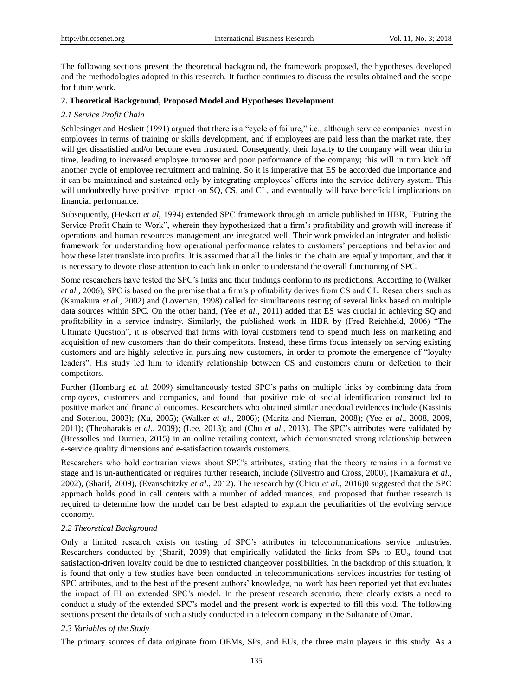The following sections present the theoretical background, the framework proposed, the hypotheses developed and the methodologies adopted in this research. It further continues to discuss the results obtained and the scope for future work.

## **2. Theoretical Background, Proposed Model and Hypotheses Development**

#### *2.1 Service Profit Chain*

Schlesinger and Heskett (1991) argued that there is a "cycle of failure," i.e., although service companies invest in employees in terms of training or skills development, and if employees are paid less than the market rate, they will get dissatisfied and/or become even frustrated. Consequently, their loyalty to the company will wear thin in time, leading to increased employee turnover and poor performance of the company; this will in turn kick off another cycle of employee recruitment and training. So it is imperative that ES be accorded due importance and it can be maintained and sustained only by integrating employees' efforts into the service delivery system. This will undoubtedly have positive impact on SQ, CS, and CL, and eventually will have beneficial implications on financial performance.

Subsequently, (Heskett *et al,* 1994) extended SPC framework through an article published in HBR, "Putting the Service-Profit Chain to Work", wherein they hypothesized that a firm's profitability and growth will increase if operations and human resources management are integrated well. Their work provided an integrated and holistic framework for understanding how operational performance relates to customers' perceptions and behavior and how these later translate into profits. It is assumed that all the links in the chain are equally important, and that it is necessary to devote close attention to each link in order to understand the overall functioning of SPC.

Some researchers have tested the SPC's links and their findings conform to its predictions. According to (Walker *et al.,* 2006), SPC is based on the premise that a firm's profitability derives from CS and CL. Researchers such as (Kamakura *et al*., 2002) and (Loveman, 1998) called for simultaneous testing of several links based on multiple data sources within SPC. On the other hand, (Yee *et al*., 2011) added that ES was crucial in achieving SQ and profitability in a service industry. Similarly, the published work in HBR by (Fred Reichheld, 2006) "The Ultimate Question", it is observed that firms with loyal customers tend to spend much less on marketing and acquisition of new customers than do their competitors. Instead, these firms focus intensely on serving existing customers and are highly selective in pursuing new customers, in order to promote the emergence of "loyalty leaders". His study led him to identify relationship between CS and customers churn or defection to their competitors.

Further (Homburg *et. al.* 2009) simultaneously tested SPC's paths on multiple links by combining data from employees, customers and companies, and found that positive role of social identification construct led to positive market and financial outcomes. Researchers who obtained similar anecdotal evidences include (Kassinis and Soteriou, 2003); (Xu, 2005); (Walker *et al.,* 2006); (Maritz and Nieman, 2008); (Yee *et al*., 2008, 2009, 2011); (Theoharakis *et al*., 2009); (Lee, 2013); and (Chu *et al*., 2013). The SPC's attributes were validated by (Bressolles and Durrieu, 2015) in an online retailing context, which demonstrated strong relationship between e-service quality dimensions and e-satisfaction towards customers.

Researchers who hold contrarian views about SPC's attributes, stating that the theory remains in a formative stage and is un-authenticated or requires further research, include (Silvestro and Cross, 2000), (Kamakura *et al*., 2002), (Sharif, 2009), (Evanschitzky *et al*., 2012). The research by (Chicu *et al*., 2016)0 suggested that the SPC approach holds good in call centers with a number of added nuances, and proposed that further research is required to determine how the model can be best adapted to explain the peculiarities of the evolving service economy.

#### *2.2 Theoretical Background*

Only a limited research exists on testing of SPC's attributes in telecommunications service industries. Researchers conducted by (Sharif, 2009) that empirically validated the links from SPs to EU<sub>S</sub> found that satisfaction-driven loyalty could be due to restricted changeover possibilities. In the backdrop of this situation, it is found that only a few studies have been conducted in telecommunications services industries for testing of SPC attributes, and to the best of the present authors' knowledge, no work has been reported yet that evaluates the impact of EI on extended SPC's model. In the present research scenario, there clearly exists a need to conduct a study of the extended SPC's model and the present work is expected to fill this void. The following sections present the details of such a study conducted in a telecom company in the Sultanate of Oman.

#### *2.3 Variables of the Study*

The primary sources of data originate from OEMs, SPs, and EUs, the three main players in this study. As a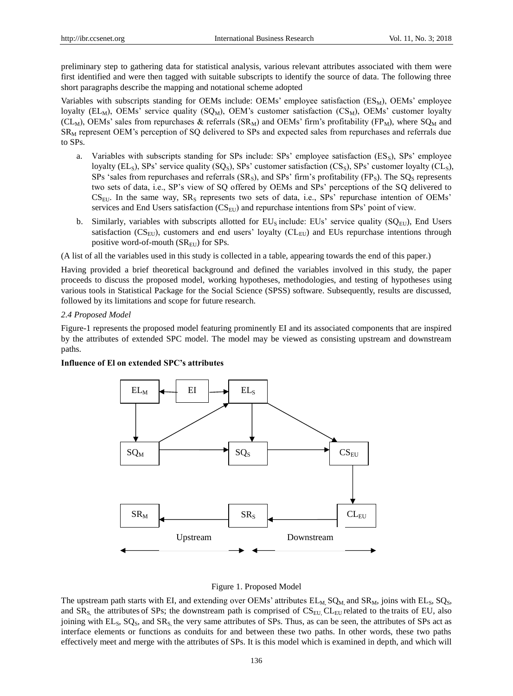preliminary step to gathering data for statistical analysis, various relevant attributes associated with them were first identified and were then tagged with suitable subscripts to identify the source of data. The following three short paragraphs describe the mapping and notational scheme adopted

Variables with subscripts standing for OEMs include: OEMs' employee satisfaction  $(ES_M)$ , OEMs' employee loyalty ( $EL_M$ ), OEMs' service quality ( $SQ_M$ ), OEM's customer satisfaction ( $CS_M$ ), OEMs' customer loyalty  $(CL_M)$ , OEMs' sales from repurchases & referrals (SR<sub>M</sub>) and OEMs' firm's profitability (FP<sub>M</sub>), where SQ<sub>M</sub> and  $SR<sub>M</sub>$  represent OEM's perception of SQ delivered to SPs and expected sales from repurchases and referrals due to SPs.

- a. Variables with subscripts standing for SPs include: SPs' employee satisfaction (ES<sub>S</sub>), SPs' employee loyalty (EL<sub>S</sub>), SPs' service quality (SQ<sub>S</sub>), SPs' customer satisfaction (CS<sub>S</sub>), SPs' customer loyalty (CL<sub>S</sub>), SPs 'sales from repurchases and referrals  $(SR<sub>S</sub>)$ , and SPs' firm's profitability  $(FP<sub>S</sub>)$ . The  $SQ<sub>S</sub>$  represents two sets of data, i.e., SP's view of SQ offered by OEMs and SPs' perceptions of the SQ delivered to  $CS<sub>EU</sub>$ . In the same way,  $SR<sub>S</sub>$  represents two sets of data, i.e., SPs' repurchase intention of OEMs' services and End Users satisfaction  $(CS<sub>EU</sub>)$  and repurchase intentions from SPs' point of view.
- b. Similarly, variables with subscripts allotted for  $EU<sub>S</sub>$  include: EUs' service quality ( $SQ<sub>EU</sub>$ ), End Users satisfaction  $(CS_{EU})$ , customers and end users' loyalty  $(CL_{EU})$  and EUs repurchase intentions through positive word-of-mouth  $(SR_{EU})$  for SPs.

(A list of all the variables used in this study is collected in a table, appearing towards the end of this paper.)

Having provided a brief theoretical background and defined the variables involved in this study, the paper proceeds to discuss the proposed model, working hypotheses, methodologies, and testing of hypotheses using various tools in Statistical Package for the Social Science (SPSS) software. Subsequently, results are discussed, followed by its limitations and scope for future research.

## *2.4 Proposed Model*

Figure-1 represents the proposed model featuring prominently EI and its associated components that are inspired by the attributes of extended SPC model. The model may be viewed as consisting upstream and downstream paths.





#### Figure 1. Proposed Model

The upstream path starts with EI, and extending over OEMs' attributes  $EL_{M}$ ,  $SQ_{M}$ , and  $SR_{M}$ , joins with  $EL_{S}$ ,  $SQ_{S}$ , and  $SR_S$ , the attributes of SPs; the downstream path is comprised of  $CS_{EU}$ ,  $CL_{EU}$  related to the traits of EU, also joining with  $EL_s$ ,  $SQ_s$ , and  $SR_s$ , the very same attributes of SPs. Thus, as can be seen, the attributes of SPs act as interface elements or functions as conduits for and between these two paths. In other words, these two paths effectively meet and merge with the attributes of SPs. It is this model which is examined in depth, and which will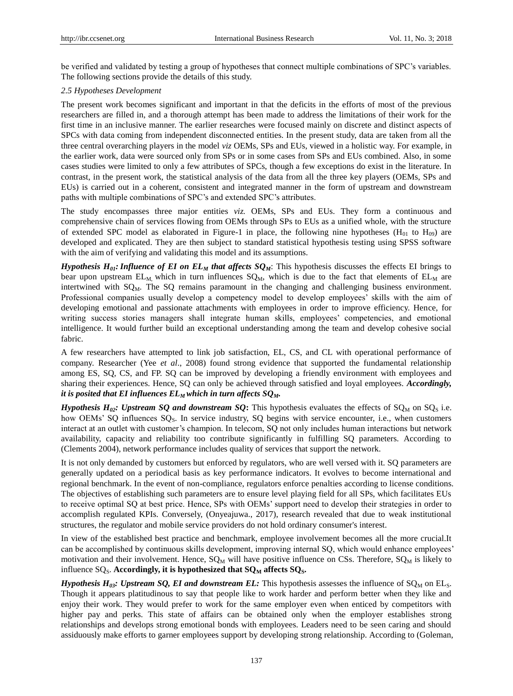be verified and validated by testing a group of hypotheses that connect multiple combinations of SPC's variables. The following sections provide the details of this study.

#### *2.5 Hypotheses Development*

The present work becomes significant and important in that the deficits in the efforts of most of the previous researchers are filled in, and a thorough attempt has been made to address the limitations of their work for the first time in an inclusive manner. The earlier researches were focused mainly on discrete and distinct aspects of SPCs with data coming from independent disconnected entities. In the present study, data are taken from all the three central overarching players in the model *viz* OEMs, SPs and EUs, viewed in a holistic way. For example, in the earlier work, data were sourced only from SPs or in some cases from SPs and EUs combined. Also, in some cases studies were limited to only a few attributes of SPCs, though a few exceptions do exist in the literature. In contrast, in the present work, the statistical analysis of the data from all the three key players (OEMs, SPs and EUs) is carried out in a coherent, consistent and integrated manner in the form of upstream and downstream paths with multiple combinations of SPC's and extended SPC's attributes.

The study encompasses three major entities *viz.* OEMs, SPs and EUs. They form a continuous and comprehensive chain of services flowing from OEMs through SPs to EUs as a unified whole, with the structure of extended SPC model as elaborated in Figure-1 in place, the following nine hypotheses ( $H_{01}$  to  $H_{09}$ ) are developed and explicated. They are then subject to standard statistical hypothesis testing using SPSS software with the aim of verifying and validating this model and its assumptions.

*Hypothesis H<sub>01</sub>*: *Influence of EI on EL<sub>M</sub> that affects*  $SQ_M$ *: This hypothesis discusses the effects EI brings to* bear upon upstream  $EL_M$ , which in turn influences  $SQ_M$ , which is due to the fact that elements of  $EL_M$  are intertwined with  $SQ_M$ . The  $SQ$  remains paramount in the changing and challenging business environment. Professional companies usually develop a competency model to develop employees' skills with the aim of developing emotional and passionate attachments with employees in order to improve efficiency. Hence, for writing success stories managers shall integrate human skills, employees' competencies, and emotional intelligence. It would further build an exceptional understanding among the team and develop cohesive social fabric.

A few researchers have attempted to link job satisfaction, EL, CS, and CL with operational performance of company. Researcher (Yee *et al*., 2008) found strong evidence that supported the fundamental relationship among ES, SQ, CS, and FP. SQ can be improved by developing a friendly environment with employees and sharing their experiences. Hence, SQ can only be achieved through satisfied and loyal employees. *Accordingly, it is posited that EI influences*  $EL_M$  *which in turn affects*  $SQ_M$ *.* 

*Hypothesis H<sub>02</sub>*: *Upstream SQ and downstream SQ***:** This hypothesis evaluates the effects of SQ<sub>M</sub> on SQ<sub>S</sub> i.e. how OEMs' SQ influences  $SQ_s$ . In service industry, SQ begins with service encounter, i.e., when customers interact at an outlet with customer's champion. In telecom, SQ not only includes human interactions but network availability, capacity and reliability too contribute significantly in fulfilling SQ parameters. According to (Clements 2004), network performance includes quality of services that support the network.

It is not only demanded by customers but enforced by regulators, who are well versed with it. SQ parameters are generally updated on a periodical basis as key performance indicators. It evolves to become international and regional benchmark. In the event of non-compliance, regulators enforce penalties according to license conditions. The objectives of establishing such parameters are to ensure level playing field for all SPs, which facilitates EUs to receive optimal SQ at best price. Hence, SPs with OEMs' support need to develop their strategies in order to accomplish regulated KPIs. Conversely, (Onyeajuwa., 2017), research revealed that due to weak institutional structures, the regulator and mobile service providers do not hold ordinary consumer's interest.

In view of the established best practice and benchmark, employee involvement becomes all the more crucial.It can be accomplished by continuous skills development, improving internal SQ, which would enhance employees' motivation and their involvement. Hence,  $SQ_M$  will have positive influence on CSs. Therefore,  $SQ_M$  is likely to influence  $SQ_s$ . Accordingly, it is hypothesized that  $SQ_M$  affects  $SQ_s$ .

*Hypothesis H<sub>03</sub>*: *Upstream SQ, EI and downstream EL*: This hypothesis assesses the influence of SQ<sub>M</sub> on EL<sub>S</sub>. Though it appears platitudinous to say that people like to work harder and perform better when they like and enjoy their work. They would prefer to work for the same employer even when enticed by competitors with higher pay and perks. This state of affairs can be obtained only when the employer establishes strong relationships and develops strong emotional bonds with employees. Leaders need to be seen caring and should assiduously make efforts to garner employees support by developing strong relationship. According to (Goleman,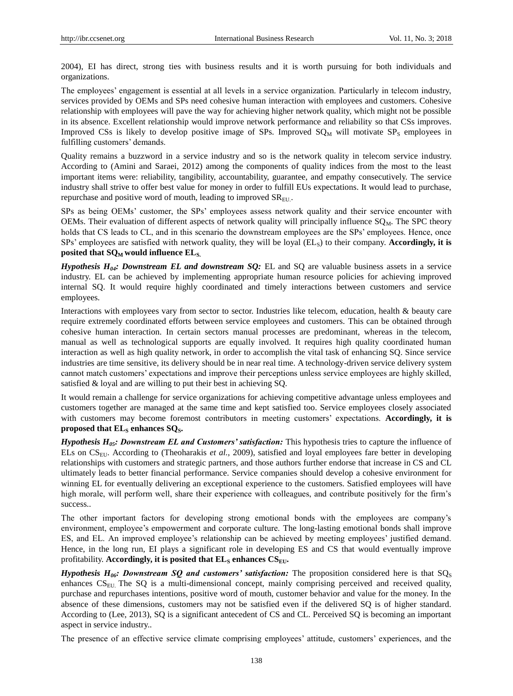2004), EI has direct, strong ties with business results and it is worth pursuing for both individuals and organizations.

The employees' engagement is essential at all levels in a service organization. Particularly in telecom industry, services provided by OEMs and SPs need cohesive human interaction with employees and customers. Cohesive relationship with employees will pave the way for achieving higher network quality, which might not be possible in its absence. Excellent relationship would improve network performance and reliability so that CSs improves. Improved CSs is likely to develop positive image of SPs. Improved  $SQ_M$  will motivate  $SP_S$  employees in fulfilling customers' demands.

Quality remains a buzzword in a service industry and so is the network quality in telecom service industry. According to (Amini and Saraei, 2012) among the components of quality indices from the most to the least important items were: reliability, tangibility, accountability, guarantee, and empathy consecutively. The service industry shall strive to offer best value for money in order to fulfill EUs expectations. It would lead to purchase, repurchase and positive word of mouth, leading to improved  $SR<sub>EUL</sub>$ .

SPs as being OEMs' customer, the SPs' employees assess network quality and their service encounter with OEMs. Their evaluation of different aspects of network quality will principally influence  $SQ_M$ . The SPC theory holds that CS leads to CL, and in this scenario the downstream employees are the SPs' employees. Hence, once SPs' employees are satisfied with network quality, they will be loyal (ELS) to their company. **Accordingly, it is posited that SQM would influence ELS.**

*Hypothesis H04: Downstream EL and downstream SQ:* EL and SQ are valuable business assets in a service industry. EL can be achieved by implementing appropriate human resource policies for achieving improved internal SQ. It would require highly coordinated and timely interactions between customers and service employees.

Interactions with employees vary from sector to sector. Industries like telecom, education, health & beauty care require extremely coordinated efforts between service employees and customers. This can be obtained through cohesive human interaction. In certain sectors manual processes are predominant, whereas in the telecom, manual as well as technological supports are equally involved. It requires high quality coordinated human interaction as well as high quality network, in order to accomplish the vital task of enhancing SQ. Since service industries are time sensitive, its delivery should be in near real time. A technology-driven service delivery system cannot match customers' expectations and improve their perceptions unless service employees are highly skilled, satisfied & loyal and are willing to put their best in achieving SQ.

It would remain a challenge for service organizations for achieving competitive advantage unless employees and customers together are managed at the same time and kept satisfied too. Service employees closely associated with customers may become foremost contributors in meeting customers' expectations. **Accordingly, it is proposed that EL<sup>S</sup> enhances SQS.**

*Hypothesis H05: Downstream EL and Customers' satisfaction:* This hypothesis tries to capture the influence of ELs on CSEU. According to (Theoharakis *et al.,* 2009), satisfied and loyal employees fare better in developing relationships with customers and strategic partners, and those authors further endorse that increase in CS and CL ultimately leads to better financial performance. Service companies should develop a cohesive environment for winning EL for eventually delivering an exceptional experience to the customers. Satisfied employees will have high morale, will perform well, share their experience with colleagues, and contribute positively for the firm's success..

The other important factors for developing strong emotional bonds with the employees are company's environment, employee's empowerment and corporate culture. The long-lasting emotional bonds shall improve ES, and EL. An improved employee's relationship can be achieved by meeting employees' justified demand. Hence, in the long run, EI plays a significant role in developing ES and CS that would eventually improve profitability. Accordingly, it is posited that  $EL<sub>S</sub>$  enhances  $CS<sub>EU</sub>$ .

*Hypothesis H<sub>06</sub>*: *Downstream SQ and customers' satisfaction*: The proposition considered here is that SQ<sub>S</sub> enhances  $CS<sub>ELL</sub>$  The SQ is a multi-dimensional concept, mainly comprising perceived and received quality, purchase and repurchases intentions, positive word of mouth, customer behavior and value for the money. In the absence of these dimensions, customers may not be satisfied even if the delivered SQ is of higher standard. According to (Lee, 2013), SQ is a significant antecedent of CS and CL. Perceived SQ is becoming an important aspect in service industry..

The presence of an effective service climate comprising employees' attitude, customers' experiences, and the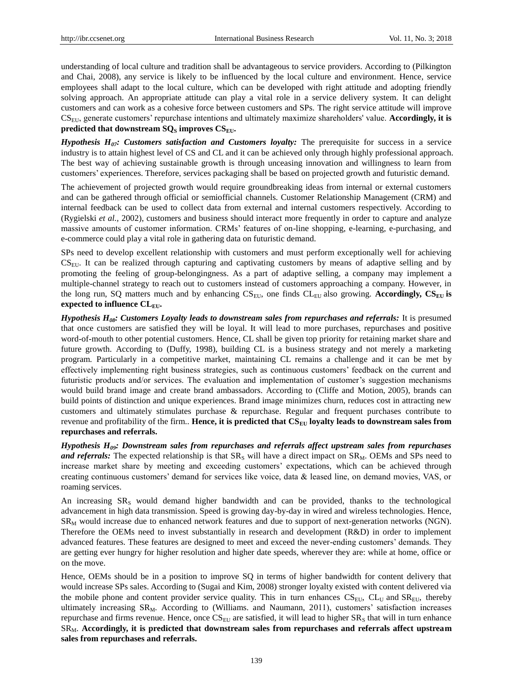understanding of local culture and tradition shall be advantageous to service providers. According to (Pilkington and Chai, 2008), any service is likely to be influenced by the local culture and environment. Hence, service employees shall adapt to the local culture, which can be developed with right attitude and adopting friendly solving approach. An appropriate attitude can play a vital role in a service delivery system. It can delight customers and can work as a cohesive force between customers and SPs. The right service attitude will improve CSEU, generate customers' repurchase intentions and ultimately maximize shareholders' value. **Accordingly, it is predicted that downstream SQ<sup>S</sup> improves CSEU.**

*Hypothesis H07: Customers satisfaction and Customers loyalty:* The prerequisite for success in a service industry is to attain highest level of CS and CL and it can be achieved only through highly professional approach. The best way of achieving sustainable growth is through unceasing innovation and willingness to learn from customers' experiences. Therefore, services packaging shall be based on projected growth and futuristic demand.

The achievement of projected growth would require groundbreaking ideas from internal or external customers and can be gathered through official or semiofficial channels. Customer Relationship Management (CRM) and internal feedback can be used to collect data from external and internal customers respectively. According to (Rygielski *et al.,* 2002), customers and business should interact more frequently in order to capture and analyze massive amounts of customer information. CRMs' features of on-line shopping, e-learning, e-purchasing, and e-commerce could play a vital role in gathering data on futuristic demand.

SPs need to develop excellent relationship with customers and must perform exceptionally well for achieving  $CS<sub>EU</sub>$ . It can be realized through capturing and captivating customers by means of adaptive selling and by promoting the feeling of group-belongingness. As a part of adaptive selling, a company may implement a multiple-channel strategy to reach out to customers instead of customers approaching a company. However, in the long run, SQ matters much and by enhancing  $CS_{EU}$ , one finds  $CL_{EU}$  also growing. **Accordingly,**  $CS_{EU}$  **is expected** to influence  $CL_{EU}$ .

*Hypothesis H08: Customers Loyalty leads to downstream sales from repurchases and referrals:* It is presumed that once customers are satisfied they will be loyal. It will lead to more purchases, repurchases and positive word-of-mouth to other potential customers. Hence, CL shall be given top priority for retaining market share and future growth. According to (Duffy, 1998), building CL is a business strategy and not merely a marketing program*.* Particularly in a competitive market, maintaining CL remains a challenge and it can be met by effectively implementing right business strategies, such as continuous customers' feedback on the current and futuristic products and/or services. The evaluation and implementation of customer's suggestion mechanisms would build brand image and create brand ambassadors. According to (Cliffe and Motion, 2005), brands can build points of distinction and unique experiences. Brand image minimizes churn, reduces cost in attracting new customers and ultimately stimulates purchase & repurchase. Regular and frequent purchases contribute to revenue and profitability of the firm.. **Hence, it is predicted that CSEU loyalty leads to downstream sales from repurchases and referrals.**

*Hypothesis H09: Downstream sales from repurchases and referrals affect upstream sales from repurchases and referrals:* The expected relationship is that  $SR_S$  will have a direct impact on  $SR_M$ . OEMs and SPs need to increase market share by meeting and exceeding customers' expectations, which can be achieved through creating continuous customers' demand for services like voice, data & leased line, on demand movies, VAS, or roaming services.

An increasing  $SR<sub>s</sub>$  would demand higher bandwidth and can be provided, thanks to the technological advancement in high data transmission. Speed is growing day-by-day in wired and wireless technologies. Hence,  $SR_M$  would increase due to enhanced network features and due to support of next-generation networks (NGN). Therefore the OEMs need to invest substantially in research and development (R&D) in order to implement advanced features. These features are designed to meet and exceed the never-ending customers' demands. They are getting ever hungry for higher resolution and higher date speeds, wherever they are: while at home, office or on the move.

Hence, OEMs should be in a position to improve SQ in terms of higher bandwidth for content delivery that would increase SPs sales. According to (Sugai and Kim, 2008) stronger loyalty existed with content delivered via the mobile phone and content provider service quality. This in turn enhances  $CS_{EU}$ ,  $CL_U$  and  $SR_{EU}$ , thereby ultimately increasing SR<sub>M</sub>. According to (Williams. and Naumann, 2011), customers' satisfaction increases repurchase and firms revenue. Hence, once  $CS_{\text{EU}}$  are satisfied, it will lead to higher  $SR<sub>S</sub>$  that will in turn enhance SRM. **Accordingly, it is predicted that downstream sales from repurchases and referrals affect upstream sales from repurchases and referrals.**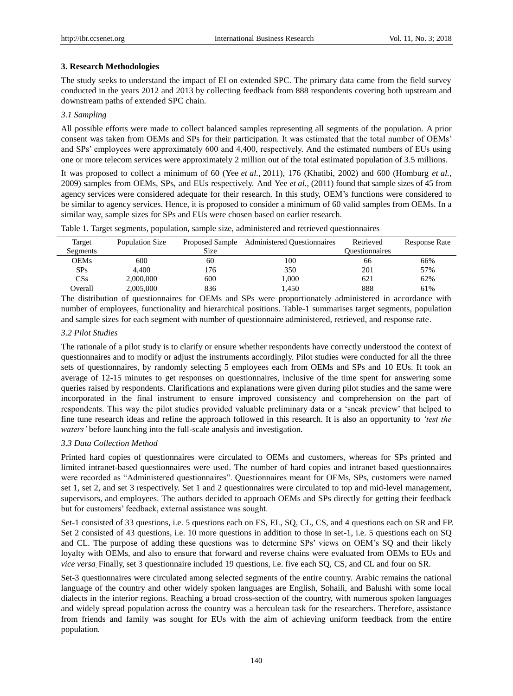# **3. Research Methodologies**

The study seeks to understand the impact of EI on extended SPC. The primary data came from the field survey conducted in the years 2012 and 2013 by collecting feedback from 888 respondents covering both upstream and downstream paths of extended SPC chain.

# *3.1 Sampling*

All possible efforts were made to collect balanced samples representing all segments of the population. A prior consent was taken from OEMs and SPs for their participation. It was estimated that the total number of OEMs' and SPs' employees were approximately 600 and 4,400, respectively. And the estimated numbers of EUs using one or more telecom services were approximately 2 million out of the total estimated population of 3.5 millions.

It was proposed to collect a minimum of 60 (Yee *et al.,* 2011), 176 (Khatibi, 2002) and 600 (Homburg *et al.,* 2009) samples from OEMs, SPs, and EUs respectively. And Yee *et al.,* (2011) found that sample sizes of 45 from agency services were considered adequate for their research. In this study, OEM's functions were considered to be similar to agency services. Hence, it is proposed to consider a minimum of 60 valid samples from OEMs. In a similar way, sample sizes for SPs and EUs were chosen based on earlier research.

| Target          | Population Size |      | Proposed Sample Administered Questionnaires | Retrieved             | <b>Response Rate</b> |
|-----------------|-----------------|------|---------------------------------------------|-----------------------|----------------------|
| Segments        |                 | Size |                                             | <b>Ouestionnaires</b> |                      |
| OEMs            | 600             | 60   | 100                                         | 66                    | 66%                  |
| SPs             | 4.400           | l 76 | 350                                         | 201                   | 57%                  |
| CS <sub>s</sub> | 2,000,000       | 600  | 000.1                                       | 621                   | 62%                  |
| Overall         | 2,005,000       | 836  | l.450                                       | 888                   | 61%                  |

Table 1. Target segments, population, sample size, administered and retrieved questionnaires

The distribution of questionnaires for OEMs and SPs were proportionately administered in accordance with number of employees, functionality and hierarchical positions. Table-1 summarises target segments, population and sample sizes for each segment with number of questionnaire administered, retrieved, and response rate.

# *3.2 Pilot Studies*

The rationale of a pilot study is to clarify or ensure whether respondents have correctly understood the context of questionnaires and to modify or adjust the instruments accordingly. Pilot studies were conducted for all the three sets of questionnaires, by randomly selecting 5 employees each from OEMs and SPs and 10 EUs. It took an average of 12-15 minutes to get responses on questionnaires, inclusive of the time spent for answering some queries raised by respondents. Clarifications and explanations were given during pilot studies and the same were incorporated in the final instrument to ensure improved consistency and comprehension on the part of respondents. This way the pilot studies provided valuable preliminary data or a 'sneak preview' that helped to fine tune research ideas and refine the approach followed in this research. It is also an opportunity to *'test the waters'* before launching into the full-scale analysis and investigation.

# *3.3 Data Collection Method*

Printed hard copies of questionnaires were circulated to OEMs and customers, whereas for SPs printed and limited intranet-based questionnaires were used. The number of hard copies and intranet based questionnaires were recorded as "Administered questionnaires". Questionnaires meant for OEMs, SPs, customers were named set 1, set 2, and set 3 respectively. Set 1 and 2 questionnaires were circulated to top and mid-level management, supervisors, and employees. The authors decided to approach OEMs and SPs directly for getting their feedback but for customers' feedback, external assistance was sought.

Set-1 consisted of 33 questions, i.e. 5 questions each on ES, EL, SQ, CL, CS, and 4 questions each on SR and FP. Set 2 consisted of 43 questions, i.e. 10 more questions in addition to those in set-1, i.e. 5 questions each on SQ and CL. The purpose of adding these questions was to determine SPs' views on OEM's SQ and their likely loyalty with OEMs, and also to ensure that forward and reverse chains were evaluated from OEMs to EUs and *vice versa.* Finally, set 3 questionnaire included 19 questions, i.e. five each SQ, CS, and CL and four on SR.

Set-3 questionnaires were circulated among selected segments of the entire country. Arabic remains the national language of the country and other widely spoken languages are English, Sohaili, and Balushi with some local dialects in the interior regions. Reaching a broad cross-section of the country, with numerous spoken languages and widely spread population across the country was a herculean task for the researchers. Therefore, assistance from friends and family was sought for EUs with the aim of achieving uniform feedback from the entire population.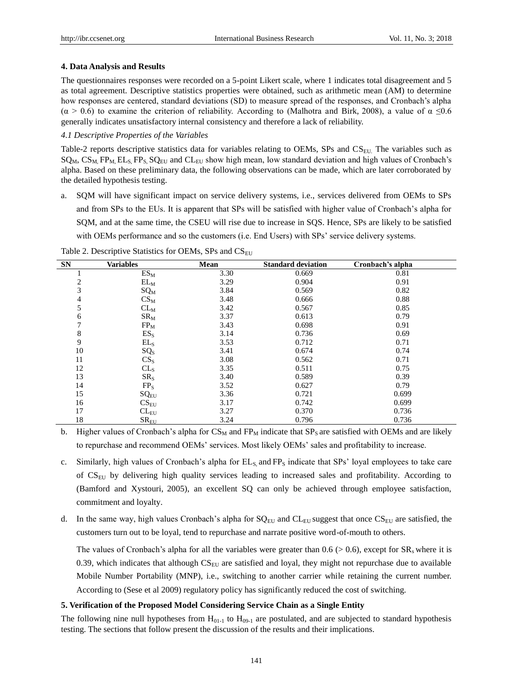#### **4. Data Analysis and Results**

The questionnaires responses were recorded on a 5-point Likert scale, where 1 indicates total disagreement and 5 as total agreement. Descriptive statistics properties were obtained, such as arithmetic mean (AM) to determine how responses are centered, standard deviations (SD) to measure spread of the responses, and Cronbach's alpha ( $\alpha$  > 0.6) to examine the criterion of reliability. According to (Malhotra and Birk, 2008), a value of  $\alpha \le 0.6$ generally indicates unsatisfactory internal consistency and therefore a lack of reliability.

# *4.1 Descriptive Properties of the Variables*

Table-2 reports descriptive statistics data for variables relating to OEMs, SPs and CS<sub>EU.</sub> The variables such as  $SQ_M$ ,  $CS_M$ ,  $FP_M$ ,  $EL_S$ ,  $FP_S$ ,  $SQ_{EU}$  and  $CL_{EU}$  show high mean, low standard deviation and high values of Cronbach's alpha. Based on these preliminary data, the following observations can be made, which are later corroborated by the detailed hypothesis testing.

a. SQM will have significant impact on service delivery systems, i.e., services delivered from OEMs to SPs and from SPs to the EUs. It is apparent that SPs will be satisfied with higher value of Cronbach's alpha for SQM, and at the same time, the CSEU will rise due to increase in SQS. Hence, SPs are likely to be satisfied with OEMs performance and so the customers (i.e. End Users) with SPs' service delivery systems.

| <b>SN</b> | <b>Variables</b> | Mean | <b>Standard deviation</b> | Cronbach's alpha |
|-----------|------------------|------|---------------------------|------------------|
|           | $ES_{M}$         | 3.30 | 0.669                     | 0.81             |
| 2         | $EL_M$           | 3.29 | 0.904                     | 0.91             |
| 3         | $SQ_M$           | 3.84 | 0.569                     | 0.82             |
| 4         | $CS_{M}$         | 3.48 | 0.666                     | 0.88             |
| 5         | $CL_{M}$         | 3.42 | 0.567                     | 0.85             |
| 6         | $SR_M$           | 3.37 | 0.613                     | 0.79             |
|           | $FP_M$           | 3.43 | 0.698                     | 0.91             |
| 8         | $ES_S$           | 3.14 | 0.736                     | 0.69             |
| 9         | $EL_{S}$         | 3.53 | 0.712                     | 0.71             |
| 10        | $SQ_S$           | 3.41 | 0.674                     | 0.74             |
| 11        | CS <sub>S</sub>  | 3.08 | 0.562                     | 0.71             |
| 12        | CL <sub>s</sub>  | 3.35 | 0.511                     | 0.75             |
| 13        | $SR_S$           | 3.40 | 0.589                     | 0.39             |
| 14        | $FP_S$           | 3.52 | 0.627                     | 0.79             |
| 15        | SQ <sub>EU</sub> | 3.36 | 0.721                     | 0.699            |
| 16        | CS <sub>EU</sub> | 3.17 | 0.742                     | 0.699            |
| 17        | $CL_{EU}$        | 3.27 | 0.370                     | 0.736            |
| 18        | SR <sub>EU</sub> | 3.24 | 0.796                     | 0.736            |

Table 2. Descriptive Statistics for OEMs, SPs and  $CS<sub>EUI</sub>$ 

b. Higher values of Cronbach's alpha for  $CS_M$  and  $FP_M$  indicate that  $SP_S$  are satisfied with OEMs and are likely to repurchase and recommend OEMs' services. Most likely OEMs' sales and profitability to increase.

- c. Similarly, high values of Cronbach's alpha for  $EL_S$  and  $FP_S$  indicate that SPs' loyal employees to take care of  $CS<sub>EU</sub>$  by delivering high quality services leading to increased sales and profitability. According to (Bamford and Xystouri, 2005), an excellent SQ can only be achieved through employee satisfaction, commitment and loyalty.
- d. In the same way, high values Cronbach's alpha for  $SQ_{EU}$  and  $CL_{EU}$  suggest that once  $CS_{EU}$  are satisfied, the customers turn out to be loyal, tend to repurchase and narrate positive word-of-mouth to others.

The values of Cronbach's alpha for all the variables were greater than  $0.6$  ( $> 0.6$ ), except for  $SR_s$  where it is 0.39, which indicates that although  $CS<sub>EU</sub>$  are satisfied and loyal, they might not repurchase due to available Mobile Number Portability (MNP), i.e., switching to another carrier while retaining the current number. According to (Sese et al 2009) regulatory policy has significantly reduced the cost of switching.

#### **5. Verification of the Proposed Model Considering Service Chain as a Single Entity**

The following nine null hypotheses from  $H_{01-1}$  to  $H_{09-1}$  are postulated, and are subjected to standard hypothesis testing. The sections that follow present the discussion of the results and their implications.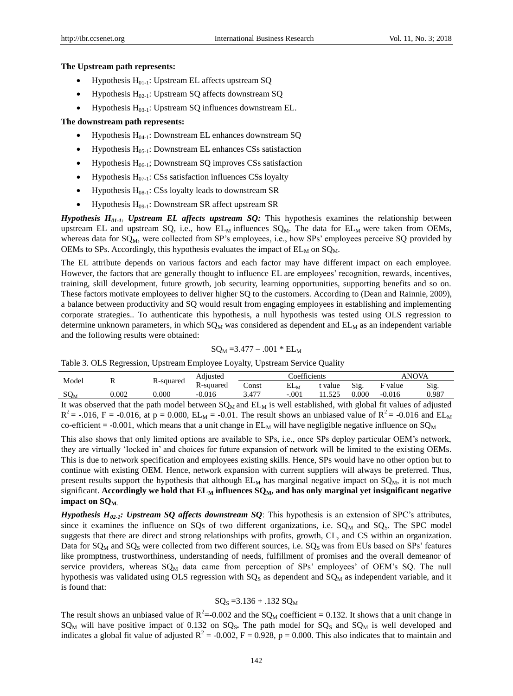#### **The Upstream path represents:**

- Hypothesis  $H_{01-1}$ : Upstream EL affects upstream SQ
- Hypothesis  $H_{02-1}$ : Upstream SQ affects downstream SQ
- Hypothesis  $H_{03-1}$ : Upstream SQ influences downstream EL.

#### **The downstream path represents:**

- Hypothesis  $H_{04-1}$ : Downstream EL enhances downstream SQ
- Hypothesis  $H_{05-1}$ : Downstream EL enhances CSs satisfaction
- Hypothesis  $H_{06-1}$ ; Downstream SQ improves CSs satisfaction
- Hypothesis  $H_{07-1}$ : CSs satisfaction influences CSs loyalty
- Hypothesis  $H_{08-1}$ : CSs loyalty leads to downstream SR
- Hypothesis  $H_{09-1}$ : Downstream SR affect upstream SR

*Hypothesis H01-1: Upstream EL affects upstream SQ:* This hypothesis examines the relationship between upstream EL and upstream SQ, i.e., how  $EL_M$  influences  $SQ_M$ . The data for  $EL_M$  were taken from OEMs, whereas data for  $SQ_M$ , were collected from SP's employees, i.e., how SPs' employees perceive SQ provided by OEMs to SPs. Accordingly, this hypothesis evaluates the impact of  $EL_M$  on  $SQ_M$ .

The EL attribute depends on various factors and each factor may have different impact on each employee. However, the factors that are generally thought to influence EL are employees' recognition, rewards, incentives, training, skill development, future growth, job security, learning opportunities, supporting benefits and so on. These factors motivate employees to deliver higher SQ to the customers. According to (Dean and Rainnie, 2009), a balance between productivity and SQ would result from engaging employees in establishing and implementing corporate strategies.. To authenticate this hypothesis, a null hypothesis was tested using OLS regression to determine unknown parameters, in which  $SQ_M$  was considered as dependent and  $EL_M$  as an independent variable and the following results were obtained:

### $SQ_M = 3.477 - .001 * EL_M$

Table 3. OLS Regression, Upstream Employee Loyalty, Upstream Service Quality

| Model<br> |           |           | Adjusted      |                | $\sim$<br>oetticients |                |                                                          | <b>NOVA</b> |       |
|-----------|-----------|-----------|---------------|----------------|-----------------------|----------------|----------------------------------------------------------|-------------|-------|
|           | R-squared | R-squared | Const         | $EL_{\lambda}$ | value                 | $\sim$<br>S12. | value<br>ы                                               | Sig.        |       |
|           | 0.002     | $0.000\,$ | .016<br>-11   | $.47^{-}$      | .001                  | 525            | 000                                                      | $-0.016$    | 0.987 |
| т.        |           |           | $\sim$ $\sim$ | $\overline{1}$ |                       |                | $\mathbf{1}$ $\mathbf{1}$ $\mathbf{1}$ $\mathbf{0}$<br>. |             |       |

It was observed that the path model between  $SQ_M$  and  $EL_M$  is well established, with global fit values of adjusted  $R^2$  = -.016, F = -0.016, at p = 0.000, EL<sub>M</sub> = -0.01. The result shows an unbiased value of R<sup>2</sup> = -0.016 and EL<sub>M</sub> co-efficient = -0.001, which means that a unit change in  $EL_M$  will have negligible negative influence on  $SQ_M$ 

This also shows that only limited options are available to SPs, i.e., once SPs deploy particular OEM's network, they are virtually 'locked in' and choices for future expansion of network will be limited to the existing OEMs. This is due to network specification and employees existing skills. Hence, SPs would have no other option but to continue with existing OEM. Hence, network expansion with current suppliers will always be preferred. Thus, present results support the hypothesis that although  $EL_M$  has marginal negative impact on  $SQ_M$ , it is not much significant. Accordingly we hold that  $EL_M$  influences  $SQ_M$ , and has only marginal yet insignificant negative **impact on SQM.**

*Hypothesis H02-1: Upstream SQ affects downstream SQ*: This hypothesis is an extension of SPC's attributes, since it examines the influence on SQs of two different organizations, i.e.  $SQ_M$  and  $SQ_S$ . The SPC model suggests that there are direct and strong relationships with profits, growth, CL, and CS within an organization. Data for  $SQ_M$  and  $SQ_S$  were collected from two different sources, i.e.  $SQ_S$  was from EUs based on SPs' features like promptness, trustworthiness, understanding of needs, fulfillment of promises and the overall demeanor of service providers, whereas  $SQ_M$  data came from perception of SPs' employees' of OEM's SQ. The null hypothesis was validated using OLS regression with  $SQ_S$  as dependent and  $SQ_M$  as independent variable, and it is found that:

# $SO<sub>S</sub> = 3.136 + .132 SO<sub>M</sub>$

The result shows an unbiased value of  $R^2 = -0.002$  and the SQ<sub>M</sub> coefficient = 0.132. It shows that a unit change in  $SQ_M$  will have positive impact of 0.132 on  $SQ_S$ . The path model for  $SQ_S$  and  $SQ_M$  is well developed and indicates a global fit value of adjusted  $R^2 = -0.002$ ,  $F = 0.928$ ,  $p = 0.000$ . This also indicates that to maintain and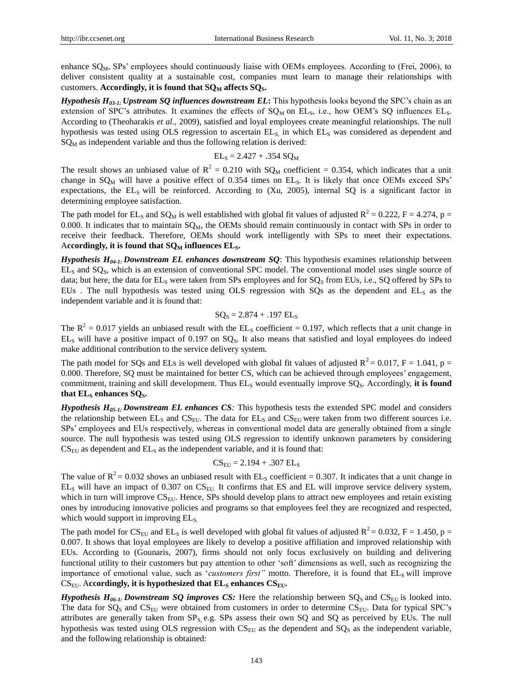enhance  $SO<sub>M</sub>$ ,  $SPs'$  employees should continuously liaise with OEMs employees. According to (Frei, 2006), to deliver consistent quality at a sustainable cost, companies must learn to manage their relationships with customers. Accordingly, it is found that  $SQ_M$  affects  $SQ_S$ .

*Hypothesis H03-1: Upstream SQ influences downstream EL***:** This hypothesis looks beyond the SPC's chain as an extension of SPC's attributes. It examines the effects of  $SQ_M$  on  $EL_S$ , i.e., how OEM's SQ influences  $EL_S$ . According to (Theoharakis *et al.,* 2009), satisfied and loyal employees create meaningful relationships. The null hypothesis was tested using OLS regression to ascertain  $EL_s$  in which  $EL_s$  was considered as dependent and  $SQ_M$  as independent variable and thus the following relation is derived:

$$
EL_S = 2.427 + .354 SQ_M
$$

The result shows an unbiased value of  $R^2 = 0.210$  with  $SQ_M$  coefficient = 0.354, which indicates that a unit change in  $SQ_M$  will have a positive effect of 0.354 times on  $EL_S$ . It is likely that once OEMs exceed SPs' expectations, the  $EL<sub>s</sub>$  will be reinforced. According to (Xu, 2005), internal SQ is a significant factor in determining employee satisfaction.

The path model for EL<sub>S</sub> and SQ<sub>M</sub> is well established with global fit values of adjusted  $R^2 = 0.222$ , F = 4.274, p = 0.000. It indicates that to maintain  $SQ_M$ , the OEMs should remain continuously in contact with SPs in order to receive their feedback. Therefore, OEMs should work intelligently with SPs to meet their expectations. Accordingly, it is found that  $SQ_M$  influences  $EL_S$ .

*Hypothesis H04-1: Downstream EL enhances downstream SQ*: This hypothesis examines relationship between  $EL<sub>S</sub>$  and  $SQ<sub>S</sub>$ , which is an extension of conventional SPC model. The conventional model uses single source of data; but here, the data for  $EL<sub>S</sub>$  were taken from SPs employees and for  $SQ<sub>S</sub>$  from EUs, i.e., SQ offered by SPs to EUs. The null hypothesis was tested using OLS regression with  $SQs$  as the dependent and  $EL<sub>s</sub>$  as the independent variable and it is found that:

$$
SQ_S = 2.874 + .197 \; EL_S
$$

The  $R^2 = 0.017$  yields an unbiased result with the EL<sub>S</sub> coefficient = 0.197, which reflects that a unit change in  $EL<sub>S</sub>$  will have a positive impact of 0.197 on  $SQ<sub>S</sub>$ . It also means that satisfied and loyal employees do indeed make additional contribution to the service delivery system.

The path model for SQs and ELs is well developed with global fit values of adjusted  $R^2 = 0.017$ ,  $F = 1.041$ ,  $p =$ 0.000. Therefore, SQ must be maintained for better CS, which can be achieved through employees' engagement, commitment, training and skill development. Thus  $EL_S$  would eventually improve  $SQ_S$ . Accordingly, it is found **that EL<sup>S</sup> enhances SQS.**

*Hypothesis H05-1: Downstream EL enhances CS:* This hypothesis tests the extended SPC model and considers the relationship between  $EL<sub>S</sub>$  and  $CS<sub>EU</sub>$ . The data for  $EL<sub>S</sub>$  and  $CS<sub>EU</sub>$  were taken from two different sources i.e. SPs' employees and EUs respectively, whereas in conventional model data are generally obtained from a single source. The null hypothesis was tested using OLS regression to identify unknown parameters by considering  $CS_{\text{EU}}$  as dependent and  $EL_S$  as the independent variable, and it is found that:

$$
CS_{EU} = 2.194 + .307 EL_S
$$

The value of  $R^2$  = 0.032 shows an unbiased result with EL<sub>S</sub> coefficient = 0.307. It indicates that a unit change in  $EL<sub>S</sub>$  will have an impact of 0.307 on  $CS<sub>EU</sub>$ . It confirms that ES and EL will improve service delivery system, which in turn will improve  $CS_{\text{EU}}$ . Hence, SPs should develop plans to attract new employees and retain existing ones by introducing innovative policies and programs so that employees feel they are recognized and respected, which would support in improving  $EL<sub>S</sub>$ .

The path model for  $CS_{\text{EU}}$  and EL<sub>S</sub> is well developed with global fit values of adjusted  $R^2 = 0.032$ , F = 1.450, p = 0.007. It shows that loyal employees are likely to develop a positive affiliation and improved relationship with EUs. According to (Gounaris, 2007), firms should not only focus exclusively on building and delivering functional utility to their customers but pay attention to other 'soft' dimensions as well, such as recognizing the importance of emotional value, such as '*customers first*" motto. Therefore, it is found that EL<sub>S</sub> will improve  $CS_{\text{EU}}$ . Accordingly, it is hypothesized that  $EL_{\text{S}}$  enhances  $CS_{\text{EU}}$ .

*Hypothesis*  $H_{06-I}$ *: Downstream SQ improves CS:* Here the relationship between SQ<sub>S</sub> and CS<sub>EU</sub> is looked into. The data for  $SQ_s$  and  $CS_{\text{EU}}$  were obtained from customers in order to determine  $CS_{\text{EU}}$ . Data for typical SPC's attributes are generally taken from  $SP<sub>S</sub>$ , e.g. SPs assess their own SQ and SQ as perceived by EUs. The null hypothesis was tested using OLS regression with  $CS_{\text{EU}}$  as the dependent and  $SQ_s$  as the independent variable, and the following relationship is obtained: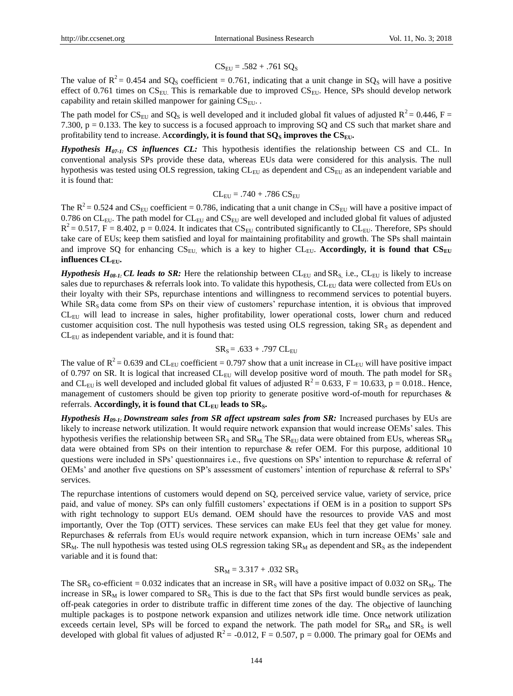$$
CS_{EU} = .582 + .761 \text{ SQ}_s
$$

The value of  $R^2 = 0.454$  and  $SQ_S$  coefficient = 0.761, indicating that a unit change in  $SQ_S$  will have a positive effect of 0.761 times on  $CS_{EU}$ . This is remarkable due to improved  $CS_{EU}$ . Hence, SPs should develop network capability and retain skilled manpower for gaining  $CS_{\text{EU}}$ .

The path model for  $CS_{EU}$  and  $SQ_S$  is well developed and it included global fit values of adjusted  $R^2 = 0.446$ , F = 7.300, p = 0.133. The key to success is a focused approach to improving SQ and CS such that market share and profitability tend to increase. Accordingly, it is found that  $SQ_S$  improves the  $CS_{ELU}$ .

*Hypothesis H07-1: CS influences CL:* This hypothesis identifies the relationship between CS and CL. In conventional analysis SPs provide these data, whereas EUs data were considered for this analysis. The null hypothesis was tested using OLS regression, taking CL<sub>EU</sub> as dependent and CS<sub>EU</sub> as an independent variable and it is found that:

$$
CL_{EU} = .740 + .786 \; CS_{EU}
$$

The  $R^2 = 0.524$  and CS<sub>EU</sub> coefficient = 0.786, indicating that a unit change in CS<sub>EU</sub> will have a positive impact of 0.786 on CL<sub>EU</sub>. The path model for CL<sub>EU</sub> and CS<sub>EU</sub> are well developed and included global fit values of adjusted  $R^2$  = 0.517, F = 8.402, p = 0.024. It indicates that  $CS_{EU}$  contributed significantly to  $CL_{EU}$ . Therefore, SPs should take care of EUs; keep them satisfied and loyal for maintaining profitability and growth. The SPs shall maintain and improve SQ for enhancing  $CS_{EU}$ , which is a key to higher  $CL_{EU}$ . **Accordingly, it is found that**  $CS_{EU}$ influences  $CL<sub>EU</sub>$ .

*Hypothesis H<sub>08-1</sub>: CL leads to SR:* Here the relationship between  $CL_{EU}$  and  $SR_S$ , i.e.,  $CL_{EU}$  is likely to increase sales due to repurchases  $\&$  referrals look into. To validate this hypothesis,  $CL<sub>EU</sub>$  data were collected from EUs on their loyalty with their SPs, repurchase intentions and willingness to recommend services to potential buyers. While SR<sub>S</sub> data come from SPs on their view of customers' repurchase intention, it is obvious that improved  $CL_{EU}$  will lead to increase in sales, higher profitability, lower operational costs, lower churn and reduced customer acquisition cost. The null hypothesis was tested using OLS regression, taking  $SR<sub>S</sub>$  as dependent and  $CL_{EU}$  as independent variable, and it is found that:

#### $SR_S = .633 + .797 CL_{EUI}$

The value of  $R^2 = 0.639$  and CL<sub>EU</sub> coefficient = 0.797 show that a unit increase in CL<sub>EU</sub> will have positive impact of 0.797 on SR. It is logical that increased  $CL_{\text{EU}}$  will develop positive word of mouth. The path model for  $SR_S$ and CL<sub>EU</sub> is well developed and included global fit values of adjusted  $R^2 = 0.633$ ,  $F = 10.633$ ,  $p = 0.018$ .. Hence, management of customers should be given top priority to generate positive word-of-mouth for repurchases & referrals. **Accordingly, it is found that CLEU leads to SRS.** 

*Hypothesis H09-1: Downstream sales from SR affect upstream sales from SR:* Increased purchases by EUs are likely to increase network utilization. It would require network expansion that would increase OEMs' sales. This hypothesis verifies the relationship between  $SR_S$  and  $SR_M$ . The  $SR_{EU}$  data were obtained from EUs, whereas  $SR_M$ data were obtained from SPs on their intention to repurchase & refer OEM. For this purpose, additional 10 questions were included in SPs' questionnaires i.e., five questions on SPs' intention to repurchase & referral of OEMs' and another five questions on SP's assessment of customers' intention of repurchase & referral to SPs' services.

The repurchase intentions of customers would depend on SQ, perceived service value, variety of service, price paid, and value of money. SPs can only fulfill customers' expectations if OEM is in a position to support SPs with right technology to support EUs demand. OEM should have the resources to provide VAS and most importantly, Over the Top (OTT) services. These services can make EUs feel that they get value for money. Repurchases & referrals from EUs would require network expansion, which in turn increase OEMs' sale and  $SR_M$ . The null hypothesis was tested using OLS regression taking  $SR_M$  as dependent and  $SR_S$  as the independent variable and it is found that:

#### $SR_M = 3.317 + .032 SR_S$

The SR<sub>S</sub> co-efficient = 0.032 indicates that an increase in SR<sub>S</sub> will have a positive impact of 0.032 on SR<sub>M</sub>. The increase in  $SR<sub>M</sub>$  is lower compared to  $SR<sub>S</sub>$ . This is due to the fact that SPs first would bundle services as peak, off-peak categories in order to distribute traffic in different time zones of the day. The objective of launching multiple packages is to postpone network expansion and utilizes network idle time. Once network utilization exceeds certain level, SPs will be forced to expand the network. The path model for  $SR_M$  and  $SR_S$  is well developed with global fit values of adjusted  $R^2$  = -0.012, F = 0.507, p = 0.000. The primary goal for OEMs and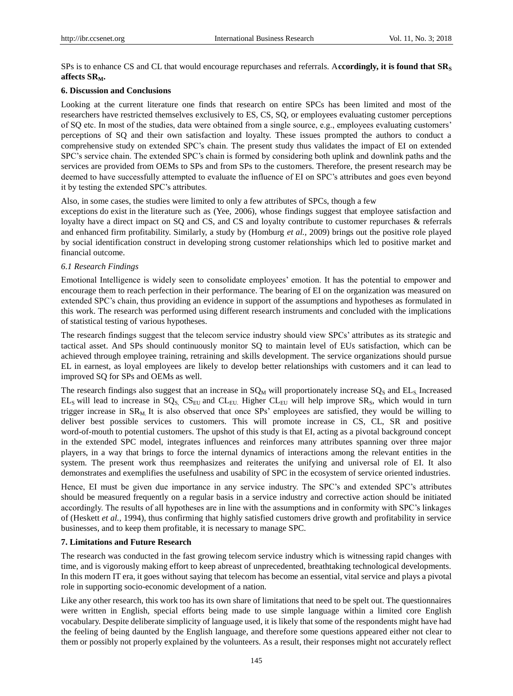SPs is to enhance CS and CL that would encourage repurchases and referrals. A**ccordingly, it is found that SR<sup>S</sup> affects SRM.** 

## **6. Discussion and Conclusions**

Looking at the current literature one finds that research on entire SPCs has been limited and most of the researchers have restricted themselves exclusively to ES, CS, SQ, or employees evaluating customer perceptions of SQ etc. In most of the studies, data were obtained from a single source, e.g., employees evaluating customers' perceptions of SQ and their own satisfaction and loyalty. These issues prompted the authors to conduct a comprehensive study on extended SPC's chain. The present study thus validates the impact of EI on extended SPC's service chain. The extended SPC's chain is formed by considering both uplink and downlink paths and the services are provided from OEMs to SPs and from SPs to the customers. Therefore, the present research may be deemed to have successfully attempted to evaluate the influence of EI on SPC's attributes and goes even beyond it by testing the extended SPC's attributes.

Also, in some cases, the studies were limited to only a few attributes of SPCs, though a few

exceptions do exist in the literature such as (Yee, 2006), whose findings suggest that employee satisfaction and loyalty have a direct impact on SQ and CS, and CS and loyalty contribute to customer repurchases & referrals and enhanced firm profitability. Similarly, a study by (Homburg *et al.,* 2009) brings out the positive role played by social identification construct in developing strong customer relationships which led to positive market and financial outcome.

### *6.1 Research Findings*

Emotional Intelligence is widely seen to consolidate employees' emotion. It has the potential to empower and encourage them to reach perfection in their performance. The bearing of EI on the organization was measured on extended SPC's chain, thus providing an evidence in support of the assumptions and hypotheses as formulated in this work. The research was performed using different research instruments and concluded with the implications of statistical testing of various hypotheses.

The research findings suggest that the telecom service industry should view SPCs' attributes as its strategic and tactical asset. And SPs should continuously monitor SQ to maintain level of EUs satisfaction, which can be achieved through employee training, retraining and skills development. The service organizations should pursue EL in earnest, as loyal employees are likely to develop better relationships with customers and it can lead to improved SQ for SPs and OEMs as well.

The research findings also suggest that an increase in  $SQ_M$  will proportionately increase  $SQ_S$  and  $EL_S$ . Increased  $EL<sub>S</sub>$  will lead to increase in  $SQ<sub>S</sub>$ ,  $CS<sub>EUI</sub>$  and  $CL<sub>EUI</sub>$ . Higher  $CL<sub>EUI</sub>$  will help improve  $SR<sub>S</sub>$ , which would in turn trigger increase in SRM. It is also observed that once SPs' employees are satisfied, they would be willing to deliver best possible services to customers. This will promote increase in CS, CL, SR and positive word-of-mouth to potential customers. The upshot of this study is that EI, acting as a pivotal background concept in the extended SPC model, integrates influences and reinforces many attributes spanning over three major players, in a way that brings to force the internal dynamics of interactions among the relevant entities in the system. The present work thus reemphasizes and reiterates the unifying and universal role of EI. It also demonstrates and exemplifies the usefulness and usability of SPC in the ecosystem of service oriented industries.

Hence, EI must be given due importance in any service industry. The SPC's and extended SPC's attributes should be measured frequently on a regular basis in a service industry and corrective action should be initiated accordingly. The results of all hypotheses are in line with the assumptions and in conformity with SPC's linkages of (Heskett *et al.,* 1994), thus confirming that highly satisfied customers drive growth and profitability in service businesses, and to keep them profitable, it is necessary to manage SPC.

#### **7. Limitations and Future Research**

The research was conducted in the fast growing telecom service industry which is witnessing rapid changes with time, and is vigorously making effort to keep abreast of unprecedented, breathtaking technological developments. In this modern IT era, it goes without saying that telecom has become an essential, vital service and plays a pivotal role in supporting socio-economic development of a nation.

Like any other research, this work too has its own share of limitations that need to be spelt out. The questionnaires were written in English, special efforts being made to use simple language within a limited core English vocabulary. Despite deliberate simplicity of language used, it is likely that some of the respondents might have had the feeling of being daunted by the English language, and therefore some questions appeared either not clear to them or possibly not properly explained by the volunteers. As a result, their responses might not accurately reflect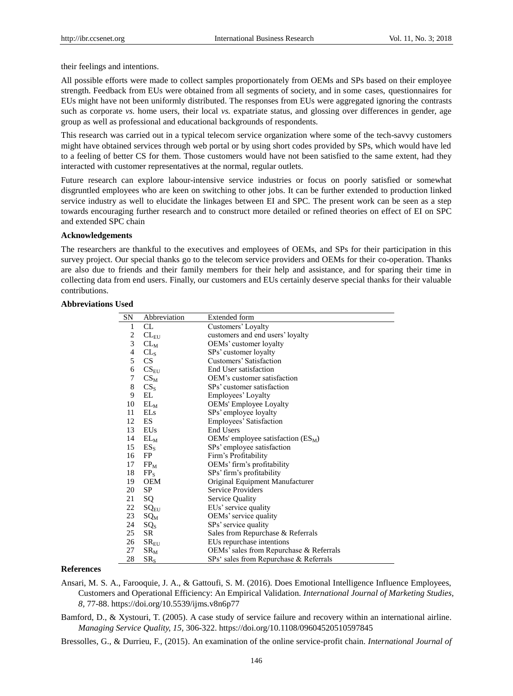their feelings and intentions.

All possible efforts were made to collect samples proportionately from OEMs and SPs based on their employee strength. Feedback from EUs were obtained from all segments of society, and in some cases, questionnaires for EUs might have not been uniformly distributed. The responses from EUs were aggregated ignoring the contrasts such as corporate *vs.* home users, their local *vs.* expatriate status, and glossing over differences in gender, age group as well as professional and educational backgrounds of respondents.

This research was carried out in a typical telecom service organization where some of the tech-savvy customers might have obtained services through web portal or by using short codes provided by SPs, which would have led to a feeling of better CS for them. Those customers would have not been satisfied to the same extent, had they interacted with customer representatives at the normal, regular outlets.

Future research can explore labour-intensive service industries or focus on poorly satisfied or somewhat disgruntled employees who are keen on switching to other jobs. It can be further extended to production linked service industry as well to elucidate the linkages between EI and SPC. The present work can be seen as a step towards encouraging further research and to construct more detailed or refined theories on effect of EI on SPC and extended SPC chain

#### **Acknowledgements**

The researchers are thankful to the executives and employees of OEMs, and SPs for their participation in this survey project. Our special thanks go to the telecom service providers and OEMs for their co-operation. Thanks are also due to friends and their family members for their help and assistance, and for sparing their time in collecting data from end users. Finally, our customers and EUs certainly deserve special thanks for their valuable contributions.

## **Abbreviations Used**

| SN             | Abbreviation            | <b>Extended</b> form                    |
|----------------|-------------------------|-----------------------------------------|
| 1              | CL                      | Customers' Loyalty                      |
| 2              | $CL_{EU}$               | customers and end users' loyalty        |
| 3              | $CL_{M}$                | OEMs' customer loyalty                  |
| $\overline{4}$ | CL <sub>S</sub>         | SPs' customer loyalty                   |
| 5              | CS                      | Customers' Satisfaction                 |
| 6              | $\text{CS}_{\text{EU}}$ | End User satisfaction                   |
| 7              | $CS_M$                  | OEM's customer satisfaction             |
| 8              | CS <sub>S</sub>         | SPs' customer satisfaction              |
| 9              | EL                      | Employees' Loyalty                      |
| 10             | $EL_{M}$                | OEMs' Employee Loyalty                  |
| 11             | ELs                     | SPs' employee loyalty                   |
| 12             | ES                      | Employees' Satisfaction                 |
| 13             | EUs                     | <b>End Users</b>                        |
| 14             | $EL_{M}$                | OEMs' employee satisfaction $(ES_M)$    |
| 15             | $ES_{S}$                | SPs' employee satisfaction              |
| 16             | FP                      | Firm's Profitability                    |
| 17             | $FP_M$                  | OEMs' firm's profitability              |
| 18             | FP <sub>S</sub>         | SPs' firm's profitability               |
| 19             | OEM                     | Original Equipment Manufacturer         |
| 20             | SP                      | <b>Service Providers</b>                |
| 21             | SQ                      | Service Quality                         |
| 22             | SQ <sub>EU</sub>        | EUs' service quality                    |
| 23             | $SQ_M$                  | OEMs' service quality                   |
| 24             | $SQ_{S}$                | SPs' service quality                    |
| 25             | SR                      | Sales from Repurchase & Referrals       |
| 26             | $SR_{\rm EU}$           | EUs repurchase intentions               |
| 27             | $SR_M$                  | OEMs' sales from Repurchase & Referrals |
| 28             | $SR_S$                  | SPs' sales from Repurchase & Referrals  |

### **References**

- Ansari, M. S. A., Farooquie, J. A., & Gattoufi, S. M. (2016). Does Emotional Intelligence Influence Employees, Customers and Operational Efficiency: An Empirical Validation. *International Journal of Marketing Studies, 8,* 77-88. https://doi.org/10.5539/ijms.v8n6p77
- Bamford, D., & Xystouri, T. (2005). A case study of service failure and recovery within an international airline. *Managing Service Quality, 15,* 306-322. https://doi.org/10.1108/09604520510597845
- Bressolles, G., & Durrieu, F., (2015). An examination of the online service-profit chain. *International Journal of*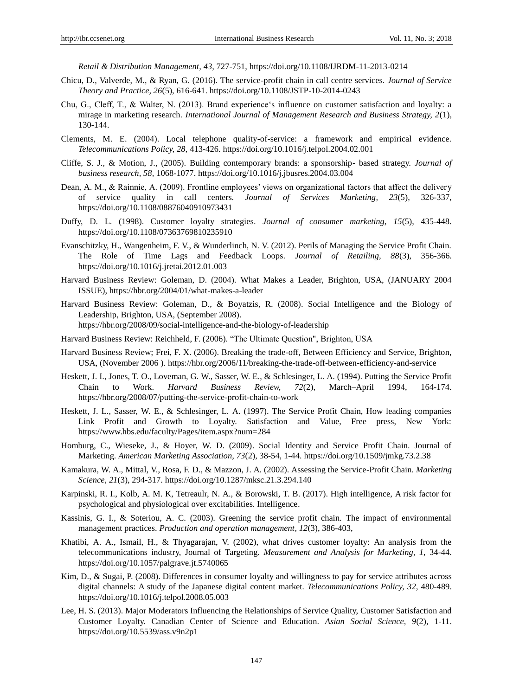*Retail & Distribution Management, 43,* 727-751[, https://doi.org/10.1108/IJRDM-11-2013-0214](https://doi.org/10.1108/IJRDM-11-2013-0214)

- Chicu, D., Valverde, M., & Ryan, G. (2016). The service-profit chain in call centre services. *Journal of Service Theory and Practice, 26*(5), 616-641.<https://doi.org/10.1108/JSTP-10-2014-0243>
- Chu, G., Cleff, T., & Walter, N. (2013). Brand experience's influence on customer satisfaction and loyalty: a mirage in marketing research. *International Journal of Management Research and Business Strategy, 2*(1), 130-144.
- Clements, M. E. (2004). Local telephone quality-of-service: a framework and empirical evidence. *Telecommunications Policy, 28,* 413-426. https://doi.org/10.1016/j.telpol.2004.02.001
- Cliffe, S. J., & Motion, J., (2005). Building contemporary brands: a sponsorship- based strategy. *Journal of business research, 58,* 1068-1077.<https://doi.org/10.1016/j.jbusres.2004.03.004>
- Dean, A. M., & Rainnie, A. (2009). Frontline employees' views on organizational factors that affect the delivery of service quality in call centers. *Journal of Services Marketing, 23*(5), 326-337, <https://doi.org/10.1108/08876040910973431>
- Duffy, D. L. (1998). Customer loyalty strategies. *Journal of consumer marketing, 15*(5), 435-448. https://doi.org/10.1108/07363769810235910
- Evanschitzky, H., Wangenheim, F. V., & Wunderlinch, N. V. (2012). Perils of Managing the Service Profit Chain. The Role of Time Lags and Feedback Loops. *Journal of Retailing, 88*(3), 356-366. https://doi.org/10.1016/j.jretai.2012.01.003
- Harvard Business Review: Goleman, D. (2004). What Makes a Leader, Brighton, USA, (JANUARY 2004 ISSUE), https://hbr.org/2004/01/what-makes-a-leader
- Harvard Business Review: Goleman, D., & Boyatzis, R. (2008). Social Intelligence and the Biology of Leadership, Brighton, USA, (September 2008). https://hbr.org/2008/09/social-intelligence-and-the-biology-of-leadership
- Harvard Business Review: Reichheld, F. (2006). "The Ultimate Question", Brighton, USA
- Harvard Business Review; Frei, F. X. (2006). Breaking the trade-off, Between Efficiency and Service, Brighton, USA, (November 2006 ). https://hbr.org/2006/11/breaking-the-trade-off-between-efficiency-and-service
- Heskett, J. I., Jones, T. O., Loveman, G. W., Sasser, W. E., & Schlesinger, L. A. (1994). Putting the Service Profit Chain to Work. *Harvard Business Review, 72*(2), March–April 1994, 164-174. <https://hbr.org/2008/07/putting-the-service-profit-chain-to-work>
- Heskett, J. L., Sasser, W. E., & Schlesinger, L. A. (1997). The Service Profit Chain, How leading companies Link Profit and Growth to Loyalty. Satisfaction and Value, Free press, New York: https://www.hbs.edu/faculty/Pages/item.aspx?num=284
- Homburg, C., Wieseke, J., & Hoyer, W. D. (2009). Social Identity and Service Profit Chain. Journal of Marketing. *American Marketing Association, 73*(2), 38-54, 1-44.<https://doi.org/10.1509/jmkg.73.2.38>
- Kamakura, W. A., Mittal, V., Rosa, F. D., & Mazzon, J. A. (2002). Assessing the Service-Profit Chain. *Marketing Science, 21*(3), 294-317. https://doi.org/10.1287/mksc.21.3.294.140
- [Karpinski, R. I., Kolb, A. M. K, Tetreaulr,](http://www.sciencedirect.com/science/article/pii/S0160289616303324#!) N. A., & [Borowski, T. B. \(2](http://www.sciencedirect.com/science/article/pii/S0160289616303324#!)017). High intelligence, A risk factor for psychological and physiological over excitabilities. Intelligence.
- Kassinis, G. I., & Soteriou, A. C. (2003). Greening the service profit chain. The impact of environmental management practices. *Production and operation management, 12*(3), 386-403,
- Khatibi, A. A., Ismail, H., & Thyagarajan, V. (2002), what drives customer loyalty: An analysis from the telecommunications industry, Journal of Targeting. *Measurement and Analysis for Marketing, 1,* 34-44. https://doi.org/10.1057/palgrave.jt.5740065
- Kim, D., & Sugai, P. (2008). Differences in consumer loyalty and willingness to pay for service attributes across digital channels: A study of the Japanese digital content market. *Telecommunications Policy, 32,* 480-489. https://doi.org/10.1016/j.telpol.2008.05.003
- Lee, H. S. (2013). Major Moderators Influencing the Relationships of Service Quality, Customer Satisfaction and Customer Loyalty. Canadian Center of Science and Education. *Asian Social Science, 9*(2), 1-11. https://doi.org/10.5539/ass.v9n2p1